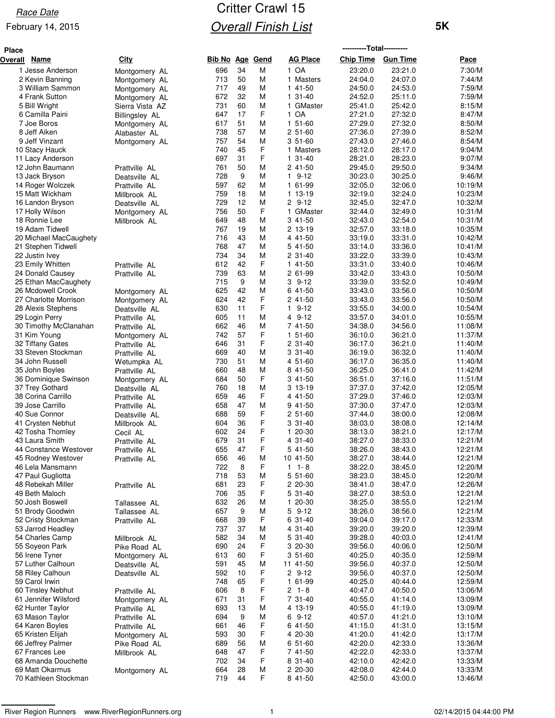**Place**

#### February 14, 2015

## Critter Crawl 15 **Overall Finish List**

**----------Total----------**

| Overall | <b>Name</b>                             | <b>City</b>                   | <b>Bib No Age</b> |          | <b>Gend</b> | <b>AG Place</b>          | <b>Chip Time</b>   | <b>Gun Time</b>    | Pace               |
|---------|-----------------------------------------|-------------------------------|-------------------|----------|-------------|--------------------------|--------------------|--------------------|--------------------|
|         | 1 Jesse Anderson                        | Montgomery AL                 | 696               | 34       | M           | 1 OA                     | 23:20.0            | 23:21.0            | 7:30/M             |
|         | 2 Kevin Banning                         | Montgomery AL                 | 713               | 50       | M           | 1 Masters                | 24:04.0            | 24:07.0            | 7:44/M             |
|         | 3 William Sammon                        | Montgomery AL                 | 717               | 49       | M           | 1 41-50                  | 24:50.0            | 24:53.0            | 7:59/M             |
|         | 4 Frank Sutton                          | Montgomery AL                 | 672               | 32       | M           | 1 31-40                  | 24:52.0            | 25:11.0            | 7:59/M             |
|         | 5 Bill Wright<br>6 Camilla Paini        | Sierra Vista AZ               | 731<br>647        | 60<br>17 | M<br>F      | 1 GMaster<br>1 OA        | 25:41.0<br>27:21.0 | 25:42.0<br>27:32.0 | 8:15/M<br>8:47/M   |
|         | 7 Joe Boros                             | <b>Billingsley AL</b>         | 617               | 51       | М           | 1 51-60                  | 27:29.0            | 27:32.0            | 8:50/M             |
|         | 8 Jeff Aiken                            | Montgomery AL<br>Alabaster AL | 738               | 57       | М           | 2 51-60                  | 27:36.0            | 27:39.0            | 8:52/M             |
|         | 9 Jeff Vinzant                          | Montgomery AL                 | 757               | 54       | М           | 3 51-60                  | 27:43.0            | 27:46.0            | 8:54/M             |
|         | 10 Stacy Hauck                          |                               | 740               | 45       | F           | 1 Masters                | 28:12.0            | 28:17.0            | 9:04/M             |
|         | 11 Lacy Anderson                        |                               | 697               | 31       | F           | $131-40$                 | 28:21.0            | 28:23.0            | 9:07/M             |
|         | 12 John Baumann                         | Prattville AL                 | 761               | 50       | М           | 2 41-50                  | 29:45.0            | 29:50.0            | 9:34/M             |
|         | 13 Jack Bryson                          | Deatsville AL                 | 728               | 9        | М           | $9 - 12$<br>$\mathbf{1}$ | 30:23.0            | 30:25.0            | 9:46/M             |
|         | 14 Roger Wolczek                        | Prattville AL                 | 597               | 62       | М           | 1 61-99                  | 32:05.0            | 32:06.0            | 10:19/M            |
|         | 15 Matt Wickham                         | Millbrook AL                  | 759               | 18       | M           | 1 13-19                  | 32:19.0            | 32:24.0            | 10:23/M            |
|         | 16 Landon Bryson                        | Deatsville AL                 | 729               | 12       | M           | $29-12$                  | 32:45.0            | 32:47.0            | 10:32/M            |
|         | 17 Holly Wilson                         | Montgomery AL                 | 756               | 50       | F           | GMaster<br>1             | 32:44.0            | 32:49.0            | 10:31/M            |
|         | 18 Ronnie Lee<br>19 Adam Tidwell        | Millbrook AL                  | 649<br>767        | 48<br>19 | M<br>М      | 3 41-50<br>2 13-19       | 32:43.0<br>32:57.0 | 32:54.0<br>33:18.0 | 10:31/M<br>10:35/M |
|         | 20 Michael MacCaughety                  |                               | 716               | 43       | М           | 4 41-50                  | 33:19.0            | 33:31.0            | 10:42/M            |
|         | 21 Stephen Tidwell                      |                               | 768               | 47       | М           | 5 41-50                  | 33:14.0            | 33:36.0            | 10:41/M            |
|         | 22 Justin Ivey                          |                               | 734               | 34       | M           | 2 31-40                  | 33:22.0            | 33:39.0            | 10:43/M            |
|         | 23 Emily Whitten                        | Prattville AL                 | 612               | 42       | F           | 1 41-50                  | 33:31.0            | 33:40.0            | 10:46/M            |
|         | 24 Donald Causey                        | Prattville AL                 | 739               | 63       | M           | 2 61-99                  | 33:42.0            | 33:43.0            | 10:50/M            |
|         | 25 Ethan MacCaughety                    |                               | 715               | 9        | М           | $39-12$                  | 33:39.0            | 33:52.0            | 10:49/M            |
|         | 26 Mcdowell Crook                       | Montgomery AL                 | 625               | 42       | М           | 6 41-50                  | 33:43.0            | 33:56.0            | 10:50/M            |
|         | 27 Charlotte Morrison                   | Montgomery AL                 | 624               | 42       | F           | $241-50$                 | 33:43.0            | 33:56.0            | 10:50/M            |
|         | 28 Alexis Stephens                      | Deatsville AL                 | 630               | 11       | F           | $19-12$                  | 33:55.0            | 34:00.0            | 10:54/M            |
|         | 29 Login Perry                          | Prattville AL                 | 605               | 11       | M           | 4 9-12                   | 33:57.0            | 34:01.0            | 10:55/M            |
|         | 30 Timothy McClanahan                   | Prattville AL                 | 662               | 46       | М           | 7 41-50                  | 34:38.0            | 34:56.0            | 11:08/M            |
|         | 31 Kim Young                            | Montgomery AL                 | 742               | 57       | F           | 1 51-60                  | 36:10.0            | 36:21.0            | 11:37/M            |
|         | 32 Tiffany Gates<br>33 Steven Stockman  | Prattville AL                 | 646<br>669        | 31<br>40 | F<br>M      | 2 31-40<br>3 31-40       | 36:17.0<br>36:19.0 | 36:21.0<br>36:32.0 | 11:40/M<br>11:40/M |
|         | 34 John Russell                         | Prattville AL<br>Wetumpka AL  | 730               | 51       | М           | 4 51-60                  | 36:17.0            | 36:35.0            | 11:40/M            |
|         | 35 John Boyles                          | Prattville AL                 | 660               | 48       | М           | 8 41-50                  | 36:25.0            | 36:41.0            | 11:42/M            |
|         | 36 Dominique Swinson                    | Montgomery AL                 | 684               | 50       | F           | 3 41-50                  | 36:51.0            | 37:16.0            | 11:51/M            |
|         | 37 Trey Gothard                         | Deatsville AL                 | 760               | 18       | М           | 3 13-19                  | 37:37.0            | 37:42.0            | 12:05/M            |
|         | 38 Corina Carrillo                      | Prattville AL                 | 659               | 46       | F           | 4 41-50                  | 37:29.0            | 37:46.0            | 12:03/M            |
|         | 39 Jose Carrillo                        | Prattville AL                 | 658               | 47       | М           | 9 41-50                  | 37:30.0            | 37:47.0            | 12:03/M            |
|         | 40 Sue Connor                           | Deatsville AL                 | 688               | 59       | F           | $251-60$                 | 37:44.0            | 38:00.0            | 12:08/M            |
|         | 41 Crysten Nebhut                       | Millbrook AL                  | 604               | 36       | F           | 3 31-40                  | 38:03.0            | 38:08.0            | 12:14/M            |
|         | 42 Tosha Thomley                        | Cecil AL                      | 602               | 24       | F           | 1 20-30                  | 38:13.0            | 38:21.0            | 12:17/M            |
|         | 43 Laura Smith<br>44 Constance Westover | Prattville AL                 | 679               | 31       | F<br>F      | 4 31-40                  | 38:27.0            | 38:33.0            | 12:21/M<br>12:21/M |
|         | 45 Rodney Westover                      | Prattville AL                 | 655<br>656        | 47<br>46 | M           | 5 41-50<br>10 41-50      | 38:26.0<br>38:27.0 | 38:43.0<br>38:44.0 | 12:21/M            |
|         | 46 Lela Mansmann                        | Prattville AL                 | 722               | 8        | F           | $1 1 - 8$                | 38:22.0            | 38:45.0            | 12:20/M            |
|         | 47 Paul Gugliotta                       |                               | 718               | 53       | М           | 5 51-60                  | 38:23.0            | 38:45.0            | 12:20/M            |
|         | 48 Rebekah Miller                       | Prattville AL                 | 681               | 23       | F           | 2 20-30                  | 38:41.0            | 38:47.0            | 12:26/M            |
|         | 49 Beth Maloch                          |                               | 706               | 35       | F           | 5 31-40                  | 38:27.0            | 38:53.0            | 12:21/M            |
|         | 50 Josh Boswell                         | Tallassee AL                  | 632               | 26       | М           | 1 20-30                  | 38:25.0            | 38:55.0            | 12:21/M            |
|         | 51 Brody Goodwin                        | Tallassee AL                  | 657               | 9        | М           | $59-12$                  | 38:26.0            | 38:56.0            | 12:21/M            |
|         | 52 Cristy Stockman                      | Prattville AL                 | 668               | 39       | F           | 6 31-40                  | 39:04.0            | 39:17.0            | 12:33/M            |
|         | 53 Jarrod Headley                       |                               | 737               | 37       | М           | 4 31-40                  | 39:20.0            | 39:20.0            | 12:39/M            |
|         | 54 Charles Camp                         | Millbrook AL                  | 582               | 34       | М           | 5 31-40                  | 39:28.0            | 40:03.0            | 12:41/M            |
|         | 55 Soyeon Park                          | Pike Road AL                  | 690               | 24       | F           | 3 20-30                  | 39:56.0            | 40:06.0            | 12:50/M            |
|         | 56 Irene Tyner                          | Montgomery AL                 | 613               | 60       | F           | $351-60$<br>11 41-50     | 40:25.0            | 40:35.0<br>40:37.0 | 12:59/M            |
|         | 57 Luther Calhoun<br>58 Riley Calhoun   | Deatsville AL                 | 591<br>592        | 45<br>10 | М<br>F      | $29-12$                  | 39:56.0<br>39:56.0 | 40:37.0            | 12:50/M<br>12:50/M |
|         | 59 Carol Irwin                          | Deatsville AL                 | 748               | 65       | F           | 1 61-99                  | 40:25.0            | 40:44.0            | 12:59/M            |
|         | 60 Tinsley Nebhut                       | Prattville AL                 | 606               | 8        | F           | $2 1 - 8$                | 40:47.0            | 40:50.0            | 13:06/M            |
|         | 61 Jennifer Wilsford                    | Montgomery AL                 | 671               | 31       | F           | 7 31-40                  | 40:55.0            | 41:14.0            | 13:09/M            |
|         | 62 Hunter Taylor                        | Prattville AL                 | 693               | 13       | M           | 4 13-19                  | 40:55.0            | 41:19.0            | 13:09/M            |
|         | 63 Mason Taylor                         | Prattville AL                 | 694               | 9        | М           | $69-12$                  | 40:57.0            | 41:21.0            | 13:10/M            |
|         | 64 Karen Boyles                         | Prattville AL                 | 661               | 46       | F           | 6 41-50                  | 41:15.0            | 41:31.0            | 13:15/M            |
|         | 65 Kristen Elijah                       | Montgomery AL                 | 593               | 30       | F           | 4 20-30                  | 41:20.0            | 41:42.0            | 13:17/M            |
|         | 66 Jeffrey Palmer                       | Pike Road AL                  | 689               | 56       | М           | 6 51-60                  | 42:20.0            | 42:33.0            | 13:36/M            |
|         | 67 Frances Lee                          | Millbrook AL                  | 648               | 47       | F           | 7 41-50                  | 42:22.0            | 42:33.0            | 13:37/M            |
|         | 68 Amanda Douchette                     |                               | 702               | 34       | F           | 8 31-40                  | 42:10.0            | 42:42.0            | 13:33/M            |
|         | 69 Matt Okarmus                         | Montgomery AL                 | 664               | 28       | М<br>F      | 2 20-30                  | 42:08.0            | 42:44.0            | 13:33/M            |
|         | 70 Kathleen Stockman                    |                               | 719               | 44       |             | 8 41-50                  | 42:50.0            | 43:00.0            | 13:46/M            |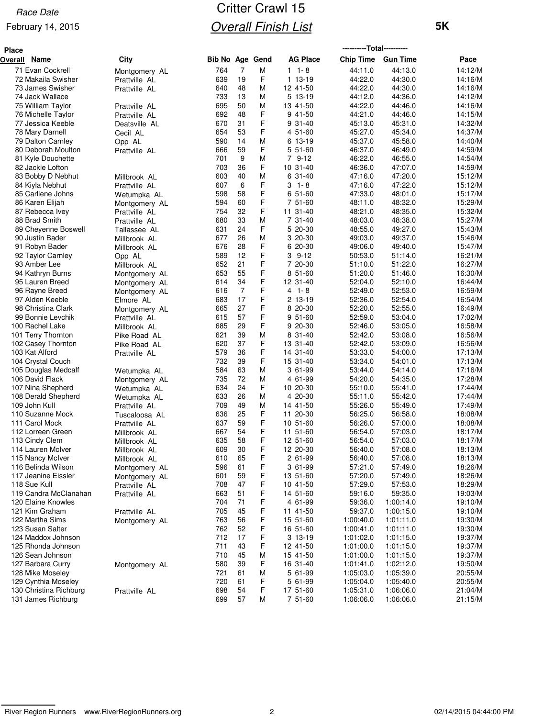#### February 14, 2015

## Critter Crawl 15 **Overall Finish List**

| <b>Place</b> |                                         |                                |                 |                |        |                      | ----------Total---------- |                        |                    |
|--------------|-----------------------------------------|--------------------------------|-----------------|----------------|--------|----------------------|---------------------------|------------------------|--------------------|
| Overall      | Name                                    | <b>City</b>                    | Bib No Age Gend |                |        | <b>AG Place</b>      | <b>Chip Time</b>          | <b>Gun Time</b>        | Pace               |
|              | 71 Evan Cockrell                        | Montgomery AL                  | 764             | $\overline{7}$ | м      | $1 \t1 - 8$          | 44:11.0                   | 44:13.0                | 14:12/M            |
|              | 72 Makaila Swisher                      | Prattville AL                  | 639             | 19             | F      | 1 13-19              | 44:22.0                   | 44:30.0                | 14:16/M            |
|              | 73 James Swisher                        | Prattville AL                  | 640             | 48             | M      | 12 41-50             | 44:22.0                   | 44:30.0                | 14:16/M            |
|              | 74 Jack Wallace                         |                                | 733             | 13             | М      | $513-19$             | 44:12.0                   | 44:36.0                | 14:12/M            |
|              | 75 William Taylor                       | Prattville AL                  | 695             | 50             | M      | 13 41-50             | 44:22.0                   | 44:46.0                | 14:16/M            |
|              | 76 Michelle Taylor                      | Prattville AL                  | 692             | 48             | F      | 9 41-50              | 44:21.0                   | 44:46.0                | 14:15/M            |
|              | 77 Jessica Keeble                       | Deatsville AL                  | 670             | 31             | F      | 9 31-40              | 45:13.0                   | 45:31.0                | 14:32/M            |
|              | 78 Mary Darnell                         | Cecil AL                       | 654             | 53             | F      | 4 51-60              | 45:27.0                   | 45:34.0                | 14:37/M            |
|              | 79 Dalton Carnley                       | Opp AL                         | 590             | 14             | M      | 6 13-19              | 45:37.0                   | 45:58.0                | 14:40/M            |
|              | 80 Deborah Moulton                      | Prattville AL                  | 666             | 59             | F      | 5 51-60              | 46:37.0                   | 46:49.0                | 14:59/M            |
|              | 81 Kyle Douchette                       |                                | 701             | 9              | M      | 7 9-12               | 46:22.0                   | 46:55.0                | 14:54/M            |
|              | 82 Jackie Lofton                        |                                | 703             | 36             | F      | 10 31-40             | 46:36.0                   | 47:07.0                | 14:59/M            |
|              | 83 Bobby D Nebhut                       | Millbrook AL                   | 603             | 40             | M      | 6 31-40              | 47:16.0                   | 47:20.0                | 15:12/M            |
|              | 84 Kiyla Nebhut                         | Prattville AL                  | 607             | 6              | F      | $3 - 1 - 8$          | 47:16.0                   | 47:22.0                | 15:12/M            |
|              | 85 Carllene Johns                       | Wetumpka AL                    | 598             | 58             | F      | 6 51-60              | 47:33.0                   | 48:01.0                | 15:17/M            |
|              | 86 Karen Elijah                         | Montgomery AL                  | 594             | 60             | F      | 7 51-60              | 48:11.0                   | 48:32.0                | 15:29/M            |
|              | 87 Rebecca Ivey                         | Prattville AL                  | 754             | 32             | F      | 11 31-40             | 48:21.0                   | 48:35.0                | 15:32/M            |
|              | 88 Brad Smith                           | Prattville AL                  | 680             | 33             | М      | 7 31-40              | 48:03.0                   | 48:38.0                | 15:27/M            |
|              | 89 Cheyenne Boswell                     | Tallassee AL                   | 631             | 24             | F      | 5 20-30              | 48:55.0                   | 49:27.0                | 15:43/M            |
|              | 90 Justin Bader                         | Millbrook AL                   | 677             | 26             | М      | 3 20-30              | 49:03.0                   | 49:37.0                | 15:46/M            |
|              | 91 Robyn Bader                          | Millbrook AL                   | 676             | 28             | F      | 6 20-30              | 49:06.0                   | 49:40.0                | 15:47/M            |
|              | 92 Taylor Carnley                       | Opp AL                         | 589             | 12             | F      | $39-12$              | 50:53.0                   | 51:14.0                | 16:21/M            |
|              | 93 Amber Lee                            | Millbrook AL                   | 652             | 21<br>55       | F<br>F | 7 20-30              | 51:10.0                   | 51:22.0                | 16:27/M            |
|              | 94 Kathryn Burns<br>95 Lauren Breed     | Montgomery AL                  | 653             | 34             | F      | 8 51-60              | 51:20.0<br>52:04.0        | 51:46.0                | 16:30/M            |
|              |                                         | Montgomery AL                  | 614<br>616      | 7              | F      | 12 31-40<br>$41 - 8$ | 52:49.0                   | 52:10.0<br>52:53.0     | 16:44/M<br>16:59/M |
|              | 96 Rayne Breed<br>97 Alden Keeble       | Montgomery AL                  | 683             | 17             | F      | 2 13-19              | 52:36.0                   | 52:54.0                | 16:54/M            |
|              | 98 Christina Clark                      | Elmore AL                      | 665             | 27             | F      | 8 20-30              | 52:20.0                   | 52:55.0                | 16:49/M            |
|              | 99 Bonnie Levchik                       | Montgomery AL<br>Prattville AL | 615             | 57             | F      | $951-60$             | 52:59.0                   | 53:04.0                | 17:02/M            |
|              | 100 Rachel Lake                         | Millbrook AL                   | 685             | 29             | F      | 9 20-30              | 52:46.0                   | 53:05.0                | 16:58/M            |
|              | 101 Terry Thornton                      | Pike Road AL                   | 621             | 39             | М      | 8 31-40              | 52:42.0                   | 53:08.0                | 16:56/M            |
|              | 102 Casey Thornton                      | Pike Road AL                   | 620             | 37             | F      | 13 31-40             | 52:42.0                   | 53:09.0                | 16:56/M            |
|              | 103 Kat Alford                          | Prattville AL                  | 579             | 36             | F      | 14 31-40             | 53:33.0                   | 54:00.0                | 17:13/M            |
|              | 104 Crystal Couch                       |                                | 732             | 39             | F      | 15 31-40             | 53:34.0                   | 54:01.0                | 17:13/M            |
|              | 105 Douglas Medcalf                     | Wetumpka AL                    | 584             | 63             | M      | 3 61-99              | 53:44.0                   | 54:14.0                | 17:16/M            |
|              | 106 David Flack                         | Montgomery AL                  | 735             | 72             | М      | 4 61-99              | 54:20.0                   | 54:35.0                | 17:28/M            |
|              | 107 Nina Shepherd                       | Wetumpka AL                    | 634             | 24             | F      | 10 20-30             | 55:10.0                   | 55:41.0                | 17:44/M            |
|              | 108 Derald Shepherd                     | Wetumpka AL                    | 633             | 26             | M      | 4 20-30              | 55:11.0                   | 55:42.0                | 17:44/M            |
|              | 109 John Kull                           | Prattville AL                  | 709             | 49             | M      | 14 41-50             | 55:26.0                   | 55:49.0                | 17:49/M            |
|              | 110 Suzanne Mock                        | Tuscaloosa AL                  | 636             | 25             | F      | 11 20-30             | 56:25.0                   | 56:58.0                | 18:08/M            |
|              | 111 Carol Mock                          | Prattville AL                  | 637             | 59             | F      | 10 51-60             | 56:26.0                   | 57:00.0                | 18:08/M            |
|              | 112 Lorreen Green                       | Millbrook AL                   | 667             | 54             | F      | 11 51-60             | 56:54.0                   | 57:03.0                | 18:17/M            |
|              | 113 Cindy Clem                          | Millbrook AL                   | 635             | 58             | F      | 12 51-60             | 56:54.0                   | 57:03.0                | 18:17/M            |
|              | 114 Lauren McIver                       | Millbrook AL                   | 609             | 30             | F      | 12 20-30             | 56:40.0                   | 57:08.0                | 18:13/M            |
|              | 115 Nancy McIver                        | Millbrook AL                   | 610             | 65             | F      | 2 61-99              | 56:40.0                   | 57:08.0                | 18:13/M            |
|              | 116 Belinda Wilson                      | Montgomery AL                  | 596             | 61             | F      | 3 61-99              | 57:21.0                   | 57:49.0                | 18:26/M            |
|              | 117 Jeanine Eissler                     | Montgomery AL                  | 601             | 59             | F      | 13 51-60             | 57:20.0                   | 57:49.0                | 18:26/M            |
|              | 118 Sue Kull                            | Prattville AL                  | 708             | 47             | F      | 10 41-50             | 57:29.0                   | 57:53.0                | 18:29/M            |
|              | 119 Candra McClanahan                   | Prattville AL                  | 663             | 51             | F      | 14 51-60             | 59:16.0                   | 59:35.0                | 19:03/M            |
|              | 120 Elaine Knowles                      |                                | 704             | 71             | F      | 4 61-99              | 59:36.0                   | 1:00:14.0              | 19:10/M            |
|              | 121 Kim Graham                          | Prattville AL                  | 705             | 45             | F      | 11 41-50             | 59:37.0                   | 1:00:15.0              | 19:10/M            |
|              | 122 Martha Sims                         | Montgomery AL                  | 763             | 56             | F      | 15 51-60             | 1:00:40.0                 | 1:01:11.0              | 19:30/M            |
|              | 123 Susan Salter                        |                                | 762             | 52             | F      | 16 51-60             | 1:00:41.0                 | 1:01:11.0              | 19:30/M            |
|              | 124 Maddox Johnson                      |                                | 712             | 17             | F      | 3 13-19              | 1:01:02.0                 | 1:01:15.0              | 19:37/M            |
|              | 125 Rhonda Johnson                      |                                | 711             | 43             | F      | 12 41-50             | 1:01:00.0                 | 1:01:15.0              | 19:37/M            |
|              | 126 Sean Johnson                        |                                | 710             | 45             | M      | 15 41-50             | 1:01:00.0                 | 1:01:15.0              | 19:37/M            |
|              | 127 Barbara Curry                       | Montgomery AL                  | 580             | 39<br>61       | F      | 16 31-40             | 1:01:41.0                 | 1:02:12.0              | 19:50/M            |
|              | 128 Mike Moseley<br>129 Cynthia Moseley |                                | 721<br>720      | 61             | M<br>F | 5 61-99<br>5 61-99   | 1:05:03.0<br>1:05:04.0    | 1:05:39.0<br>1:05:40.0 | 20:55/M<br>20:55/M |
|              | 130 Christina Richburg                  |                                | 698             | 54             | F      | 17 51-60             | 1:05:31.0                 | 1:06:06.0              | 21:04/M            |
|              | 131 James Richburg                      | Prattville AL                  | 699             | 57             | м      | 7 51-60              | 1:06:06.0                 | 1:06:06.0              | 21:15/M            |
|              |                                         |                                |                 |                |        |                      |                           |                        |                    |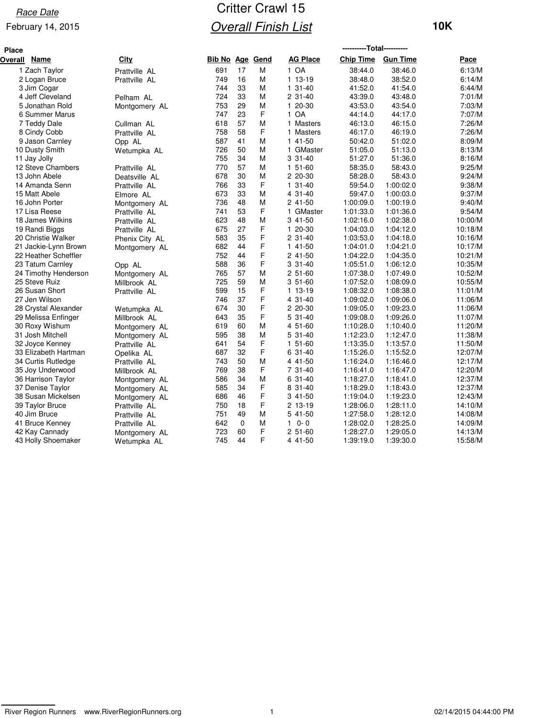#### February 14, 2015

## Critter Crawl 15 **Overall Finish List**

| <b>10K</b> |  |  |
|------------|--|--|
|------------|--|--|

| <b>Place</b>           |                |                        |             |   |                 | ----------Total---------- |                 |         |
|------------------------|----------------|------------------------|-------------|---|-----------------|---------------------------|-----------------|---------|
| <b>Name</b><br>Overall | City           | <b>Bib No Age Gend</b> |             |   | <b>AG Place</b> | <b>Chip Time</b>          | <b>Gun Time</b> | Pace    |
| 1 Zach Taylor          | Prattville AL  | 691                    | 17          | M | 1 OA            | 38:44.0                   | 38:46.0         | 6:13/M  |
| 2 Logan Bruce          | Prattville AL  | 749                    | 16          | M | 1 13-19         | 38:48.0                   | 38:52.0         | 6:14/M  |
| 3 Jim Cogar            |                | 744                    | 33          | M | $131-40$        | 41:52.0                   | 41:54.0         | 6:44/M  |
| 4 Jeff Cleveland       | Pelham AL      | 724                    | 33          | M | 2 31-40         | 43:39.0                   | 43:48.0         | 7:01/M  |
| 5 Jonathan Rold        | Montgomery AL  | 753                    | 29          | M | 1 20-30         | 43:53.0                   | 43:54.0         | 7:03/M  |
| 6 Summer Marus         |                | 747                    | 23          | F | 1 OA            | 44:14.0                   | 44:17.0         | 7:07/M  |
| 7 Teddy Dale           | Cullman AL     | 618                    | 57          | M | 1 Masters       | 46:13.0                   | 46:15.0         | 7:26/M  |
| 8 Cindy Cobb           | Prattville AL  | 758                    | 58          | F | 1 Masters       | 46:17.0                   | 46:19.0         | 7:26/M  |
| 9 Jason Carnley        | Opp AL         | 587                    | 41          | M | 1 41-50         | 50:42.0                   | 51:02.0         | 8:09/M  |
| 10 Dusty Smith         | Wetumpka AL    | 726                    | 50          | M | 1 GMaster       | 51:05.0                   | 51:13.0         | 8:13/M  |
| 11 Jay Jolly           |                | 755                    | 34          | M | $331-40$        | 51:27.0                   | 51:36.0         | 8:16/M  |
| 12 Steve Chambers      | Prattville AL  | 770                    | 57          | М | 1 51-60         | 58:35.0                   | 58:43.0         | 9:25/M  |
| 13 John Abele          | Deatsville AL  | 678                    | 30          | M | 2 20-30         | 58:28.0                   | 58:43.0         | 9:24/M  |
| 14 Amanda Senn         | Prattville AL  | 766                    | 33          | F | $131-40$        | 59:54.0                   | 1:00:02.0       | 9:38/M  |
| 15 Matt Abele          | Elmore AL      | 673                    | 33          | M | 4 31-40         | 59:47.0                   | 1:00:03.0       | 9:37/M  |
| 16 John Porter         | Montgomery AL  | 736                    | 48          | M | 2 41-50         | 1:00:09.0                 | 1:00:19.0       | 9:40/M  |
| 17 Lisa Reese          | Prattville AL  | 741                    | 53          | F | 1 GMaster       | 1:01:33.0                 | 1:01:36.0       | 9:54/M  |
| 18 James Wilkins       | Prattville AL  | 623                    | 48          | M | 3 41-50         | 1:02:16.0                 | 1:02:38.0       | 10:00/M |
| 19 Randi Biggs         | Prattville AL  | 675                    | 27          | F | 1 20-30         | 1:04:03.0                 | 1:04:12.0       | 10:18/M |
| 20 Christie Walker     | Phenix City AL | 583                    | 35          | F | 2 31-40         | 1:03:53.0                 | 1:04:18.0       | 10:16/M |
| 21 Jackie-Lynn Brown   | Montgomery AL  | 682                    | 44          | F | 1 41-50         | 1:04:01.0                 | 1:04:21.0       | 10:17/M |
| 22 Heather Scheffler   |                | 752                    | 44          | F | 2 41-50         | 1:04:22.0                 | 1:04:35.0       | 10:21/M |
| 23 Tatum Carnley       | Opp AL         | 588                    | 36          | F | 3 31-40         | 1:05:51.0                 | 1:06:12.0       | 10:35/M |
| 24 Timothy Henderson   | Montgomery AL  | 765                    | 57          | M | $251-60$        | 1:07:38.0                 | 1:07:49.0       | 10:52/M |
| 25 Steve Ruiz          | Millbrook AL   | 725                    | 59          | M | $351-60$        | 1:07:52.0                 | 1:08:09.0       | 10:55/M |
| 26 Susan Short         | Prattville AL  | 599                    | 15          | F | 1 13-19         | 1:08:32.0                 | 1:08:38.0       | 11:01/M |
| 27 Jen Wilson          |                | 746                    | 37          | F | 4 31-40         | 1:09:02.0                 | 1:09:06.0       | 11:06/M |
| 28 Crystal Alexander   | Wetumpka AL    | 674                    | 30          | F | 2 20-30         | 1:09:05.0                 | 1:09:23.0       | 11:06/M |
| 29 Melissa Enfinger    | Millbrook AL   | 643                    | 35          | F | $531-40$        | 1:09:08.0                 | 1:09:26.0       | 11:07/M |
| 30 Roxy Wishum         | Montgomery AL  | 619                    | 60          | M | 4 51-60         | 1:10:28.0                 | 1:10:40.0       | 11:20/M |
| 31 Josh Mitchell       | Montgomery AL  | 595                    | 38          | M | 5 31-40         | 1:12:23.0                 | 1:12:47.0       | 11:38/M |
| 32 Joyce Kenney        | Prattville AL  | 641                    | 54          | F | $151-60$        | 1:13:35.0                 | 1:13:57.0       | 11:50/M |
| 33 Elizabeth Hartman   | Opelika AL     | 687                    | 32          | F | 6 31-40         | 1:15:26.0                 | 1:15:52.0       | 12:07/M |
| 34 Curtis Rutledge     | Prattville AL  | 743                    | 50          | M | 4 41-50         | 1:16:24.0                 | 1:16:46.0       | 12:17/M |
| 35 Joy Underwood       | Millbrook AL   | 769                    | 38          | F | 7 31-40         | 1:16:41.0                 | 1:16:47.0       | 12:20/M |
| 36 Harrison Taylor     | Montgomery AL  | 586                    | 34          | м | 6 31-40         | 1:18:27.0                 | 1:18:41.0       | 12:37/M |
| 37 Denise Taylor       | Montgomery AL  | 585                    | 34          | F | 8 31-40         | 1:18:29.0                 | 1:18:43.0       | 12:37/M |
| 38 Susan Mickelsen     | Montgomery AL  | 686                    | 46          | F | 3 41-50         | 1:19:04.0                 | 1:19:23.0       | 12:43/M |
| 39 Taylor Bruce        | Prattville AL  | 750                    | 18          | F | 2 13-19         | 1:28:06.0                 | 1:28:11.0       | 14:10/M |
| 40 Jim Bruce           | Prattville AL  | 751                    | 49          | M | 5 41-50         | 1:27:58.0                 | 1:28:12.0       | 14:08/M |
| 41 Bruce Kenney        | Prattville AL  | 642                    | $\mathbf 0$ | M | $10 - 0$        | 1:28:02.0                 | 1:28:25.0       | 14:09/M |
| 42 Kay Cannady         | Montgomery AL  | 723                    | 60          | F | $251-60$        | 1:28:27.0                 | 1:29:05.0       | 14:13/M |
| 43 Holly Shoemaker     | Wetumpka AL    | 745                    | 44          | F | 4 41-50         | 1:39:19.0                 | 1:39:30.0       | 15:58/M |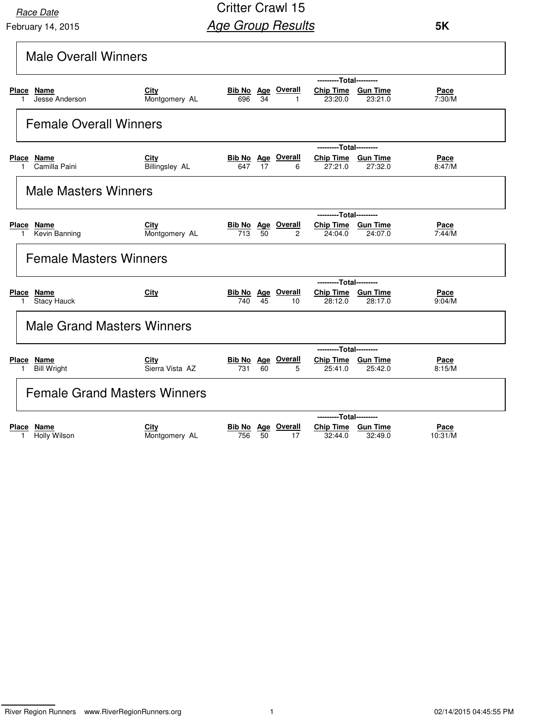February 14, 2015 **Race Date** 

| <b>Male Overall Winners</b>                                  |                               |                                                                                                                        |
|--------------------------------------------------------------|-------------------------------|------------------------------------------------------------------------------------------------------------------------|
|                                                              |                               | ---------Total---------                                                                                                |
| Place Name<br>Jesse Anderson<br>1                            | City<br>Montgomery AL         | <b>Bib No Age Overall</b><br>Chip Time Gun Time<br>Pace<br>34<br>7:30/M<br>696<br>23:20.0<br>23:21.0<br>$\mathbf{1}$   |
| <b>Female Overall Winners</b>                                |                               |                                                                                                                        |
|                                                              |                               | ---------Total---------                                                                                                |
| Place Name<br>Camilla Paini                                  | City<br><b>Billingsley AL</b> | <b>Bib No Age Overall</b><br>Chip Time Gun Time<br>Pace<br>8:47/M<br>17<br>27:21.0<br>27:32.0<br>647<br>6              |
| <b>Male Masters Winners</b>                                  |                               |                                                                                                                        |
|                                                              |                               | ---------Total---------                                                                                                |
| <b>Place</b><br><u>Name</u><br>Kevin Banning<br>$\mathbf{1}$ | City<br>Montgomery AL         | <b>Bib No Age Overall</b><br>Chip Time Gun Time<br>Pace<br>713<br>7:44/M<br>50<br>$\overline{2}$<br>24:04.0<br>24:07.0 |
| <b>Female Masters Winners</b>                                |                               |                                                                                                                        |
|                                                              |                               | ---------Total---------                                                                                                |
| Place Name<br><b>Stacy Hauck</b>                             | <b>City</b>                   | <b>Bib No Age Overall</b><br>Chip Time Gun Time<br>Pace<br>28:17.0<br>9:04/M<br>740<br>45<br>10<br>28:12.0             |
| <b>Male Grand Masters Winners</b>                            |                               |                                                                                                                        |
|                                                              |                               | ---------Total---------                                                                                                |
| Place Name<br><b>Bill Wright</b><br>1                        | City<br>Sierra Vista AZ       | <b>Bib No Age Overall</b><br>Chip Time Gun Time<br>Pace<br>731<br>60<br>5<br>8:15/M<br>25:41.0<br>25:42.0              |
| <b>Female Grand Masters Winners</b>                          |                               |                                                                                                                        |
|                                                              |                               | ---------Total---------                                                                                                |
| Place Name<br>Holly Wilson<br>1                              | City<br>Montgomery AL         | <b>Bib No</b> Age Overall<br>Chip Time Gun Time<br>Pace<br>756<br>50<br>32:44.0<br>32:49.0<br>10:31/M<br>17            |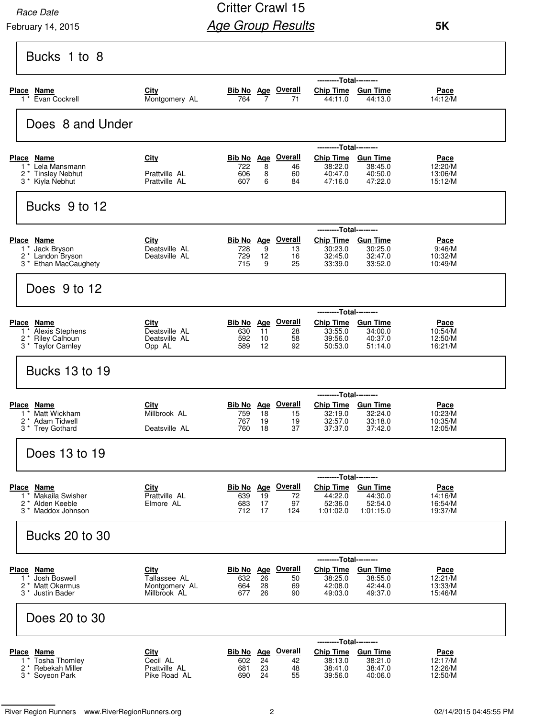February 14, 2015

### Critter Crawl 15 **Age Group Results**

| Montgomery AL<br>764<br>722<br>Prattville AL<br>606<br>Prattville AL<br>607<br>Deatsville AL<br>728<br>729<br>Deatsville AL<br>715<br>Deatsville AL<br>630<br>592<br>Deatsville AL<br>589<br>Opp AL | $\overline{7}$<br>8<br>8<br>6<br>9<br>12<br>9<br><b>Bib No</b> Age<br>11<br>10<br>12 | <b>Bib No Age Overall</b><br>71<br><b>Bib No</b> Age Overall<br>46<br>60<br>84<br>Bib No Age Overall<br>13<br>16<br>25<br><b>Overall</b><br>28<br>58<br>92 | Chip Time Gun Time<br>44:11.0<br>---------Total---------<br>Chip Time Gun Time<br>38:22.0<br>40:47.0<br>47:16.0<br>---------Total---------<br>Chip Time Gun Time<br>30:23.0<br>32:45.0<br>33:39.0<br><b>Chip Time</b><br>33:55.0<br>39:56.0<br>50:53.0 | 44:13.0<br>38:45.0<br>40:50.0<br>47:22.0<br>30:25.0<br>32:47.0<br>33:52.0<br>--Total---------<br><b>Gun Time</b><br>34:00.0<br>40:37.0<br>51:14.0 | Pace<br>14:12/M<br>Pace<br>12:20/M<br>13:06/M<br>15:12/M<br>Pace<br>9:46/M<br>10:32/M<br>10:49/M<br><u>Pace</u><br>10:54/M<br>12:50/M<br>16:21/M |
|-----------------------------------------------------------------------------------------------------------------------------------------------------------------------------------------------------|--------------------------------------------------------------------------------------|------------------------------------------------------------------------------------------------------------------------------------------------------------|--------------------------------------------------------------------------------------------------------------------------------------------------------------------------------------------------------------------------------------------------------|---------------------------------------------------------------------------------------------------------------------------------------------------|--------------------------------------------------------------------------------------------------------------------------------------------------|
|                                                                                                                                                                                                     |                                                                                      |                                                                                                                                                            |                                                                                                                                                                                                                                                        |                                                                                                                                                   |                                                                                                                                                  |
|                                                                                                                                                                                                     |                                                                                      |                                                                                                                                                            |                                                                                                                                                                                                                                                        |                                                                                                                                                   |                                                                                                                                                  |
|                                                                                                                                                                                                     |                                                                                      |                                                                                                                                                            |                                                                                                                                                                                                                                                        |                                                                                                                                                   |                                                                                                                                                  |
|                                                                                                                                                                                                     |                                                                                      |                                                                                                                                                            |                                                                                                                                                                                                                                                        |                                                                                                                                                   |                                                                                                                                                  |
|                                                                                                                                                                                                     |                                                                                      |                                                                                                                                                            |                                                                                                                                                                                                                                                        |                                                                                                                                                   |                                                                                                                                                  |
|                                                                                                                                                                                                     |                                                                                      |                                                                                                                                                            |                                                                                                                                                                                                                                                        |                                                                                                                                                   |                                                                                                                                                  |
|                                                                                                                                                                                                     |                                                                                      |                                                                                                                                                            |                                                                                                                                                                                                                                                        |                                                                                                                                                   |                                                                                                                                                  |
|                                                                                                                                                                                                     |                                                                                      |                                                                                                                                                            |                                                                                                                                                                                                                                                        |                                                                                                                                                   |                                                                                                                                                  |
|                                                                                                                                                                                                     |                                                                                      |                                                                                                                                                            |                                                                                                                                                                                                                                                        |                                                                                                                                                   |                                                                                                                                                  |
|                                                                                                                                                                                                     |                                                                                      |                                                                                                                                                            |                                                                                                                                                                                                                                                        |                                                                                                                                                   |                                                                                                                                                  |
|                                                                                                                                                                                                     |                                                                                      |                                                                                                                                                            |                                                                                                                                                                                                                                                        |                                                                                                                                                   |                                                                                                                                                  |
|                                                                                                                                                                                                     |                                                                                      |                                                                                                                                                            |                                                                                                                                                                                                                                                        |                                                                                                                                                   |                                                                                                                                                  |
|                                                                                                                                                                                                     |                                                                                      |                                                                                                                                                            |                                                                                                                                                                                                                                                        |                                                                                                                                                   |                                                                                                                                                  |
|                                                                                                                                                                                                     |                                                                                      |                                                                                                                                                            |                                                                                                                                                                                                                                                        |                                                                                                                                                   |                                                                                                                                                  |
|                                                                                                                                                                                                     |                                                                                      | <b>Bib No</b> Age Overall                                                                                                                                  | ---------Total---------<br><b>Chip Time</b>                                                                                                                                                                                                            | <b>Gun Time</b>                                                                                                                                   | Pace                                                                                                                                             |
| Millbrook AL<br>759<br>767                                                                                                                                                                          | 18<br>19                                                                             | 15<br>19                                                                                                                                                   | 32:19.0<br>32:57.0                                                                                                                                                                                                                                     | 32:24.0<br>33:18.0                                                                                                                                | 10:23/M<br>10:35/M                                                                                                                               |
| Deatsville AL<br>760                                                                                                                                                                                | 18                                                                                   | 37                                                                                                                                                         | 37:37.0                                                                                                                                                                                                                                                | 37:42.0                                                                                                                                           | 12:05/M                                                                                                                                          |
|                                                                                                                                                                                                     |                                                                                      |                                                                                                                                                            |                                                                                                                                                                                                                                                        |                                                                                                                                                   |                                                                                                                                                  |
|                                                                                                                                                                                                     |                                                                                      | <b>Bib No</b> Age Overall                                                                                                                                  | ---------Total---------<br><b>Chip Time</b>                                                                                                                                                                                                            | <b>Gun Time</b>                                                                                                                                   |                                                                                                                                                  |
| Prattville AL<br>639<br>Elmore AL<br>683                                                                                                                                                            | 19<br>17                                                                             | 72<br>97                                                                                                                                                   | 44:22.0<br>52:36.0                                                                                                                                                                                                                                     | 44:30.0<br>52:54.0                                                                                                                                | Pace<br>14:16/M<br>16:54/M                                                                                                                       |
| 712                                                                                                                                                                                                 | 17                                                                                   | 124                                                                                                                                                        | 1:01:02.0                                                                                                                                                                                                                                              | 1:01:15.0                                                                                                                                         | 19:37/M                                                                                                                                          |
|                                                                                                                                                                                                     |                                                                                      |                                                                                                                                                            |                                                                                                                                                                                                                                                        |                                                                                                                                                   |                                                                                                                                                  |
|                                                                                                                                                                                                     |                                                                                      |                                                                                                                                                            | ------                                                                                                                                                                                                                                                 | ---Total---------                                                                                                                                 |                                                                                                                                                  |
|                                                                                                                                                                                                     | 26                                                                                   | 50                                                                                                                                                         | 38:25.0                                                                                                                                                                                                                                                | 38:55.0                                                                                                                                           | Pace<br>12:21/M                                                                                                                                  |
|                                                                                                                                                                                                     | 26                                                                                   | 90                                                                                                                                                         | 49:03.0                                                                                                                                                                                                                                                | 49:37.0                                                                                                                                           | 13:33/M<br>15:46/M                                                                                                                               |
|                                                                                                                                                                                                     |                                                                                      |                                                                                                                                                            |                                                                                                                                                                                                                                                        |                                                                                                                                                   |                                                                                                                                                  |
|                                                                                                                                                                                                     |                                                                                      |                                                                                                                                                            |                                                                                                                                                                                                                                                        |                                                                                                                                                   |                                                                                                                                                  |
|                                                                                                                                                                                                     |                                                                                      |                                                                                                                                                            | 38:13.0                                                                                                                                                                                                                                                | 38:21.0                                                                                                                                           | <u>Pace</u><br>12:17/M<br>12:26/M                                                                                                                |
|                                                                                                                                                                                                     | Tallassee AL<br>Montgomery AL<br>Millbrook AL                                        | Bib No<br>632<br>664<br>28<br>677                                                                                                                          | Age Overall<br>69<br>Bib No Age Overall<br>Cecil AL<br>602<br>24<br>42                                                                                                                                                                                 | <b>Chip Time</b><br>42:08.0                                                                                                                       | <b>Gun Time</b><br>42:44.0<br>---------Total---------<br>Chip Time Gun Time<br>Prattville AL<br>23<br>38:41.0<br>38:47.0<br>681<br>48            |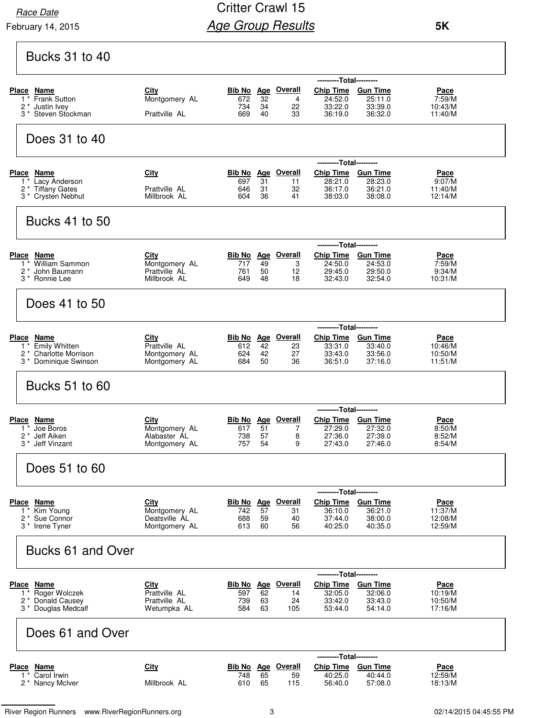$\mathsf{r}$ 

#### February 14, 2015

## Critter Crawl 15 **Age Group Results**

 **5K**

٦

| <b>Bucks 31 to 40</b>                               |                                |                      |                  |                                 |                               |                            |                        |
|-----------------------------------------------------|--------------------------------|----------------------|------------------|---------------------------------|-------------------------------|----------------------------|------------------------|
|                                                     |                                |                      |                  |                                 | ------                        | ---Total---------          |                        |
| <u>Place Name</u><br>Frank Sutton<br>$1^*$          | <b>City</b><br>Montgomery AL   | <u>Bib No</u><br>672 | 32               | Age Overall<br>4                | <b>Chip Time</b><br>24:52.0   | <b>Gun Time</b><br>25:11.0 | Pace<br>7:59/M         |
| $\overline{c}$<br>Justin Ivey                       |                                | 734                  | 34               | 22                              | 33:22.0                       | 33:39.0                    | 10:43/M                |
| Steven Stockman<br>$3^*$                            | Prattville AL                  | 669                  | 40               | 33                              | 36:19.0                       | 36:32.0                    | 11:40/M                |
| Does 31 to 40                                       |                                |                      |                  |                                 |                               |                            |                        |
|                                                     |                                |                      |                  |                                 | ---------Total---------       |                            |                        |
| Place Name<br>Lacy Anderson<br>$1^*$                | <b>City</b>                    | <u>Bib No</u><br>697 | 31               | Age Overall<br>11               | <b>Chip Time</b><br>28:21.0   | <b>Gun Time</b><br>28:23.0 | Pace<br>9:07/M         |
| 2 * Tiffany Gates                                   | Prattville AL                  | 646                  | 31               | 32                              | 36:17.0                       | 36:21.0                    | 11:40/M                |
| 3 * Crysten Nebhut                                  | Millbrook AL                   | 604                  | 36               | 41                              | 38:03.0                       | 38:08.0                    | 12:14/M                |
| Bucks 41 to 50                                      |                                |                      |                  |                                 |                               |                            |                        |
|                                                     |                                |                      |                  |                                 | ---------Total---------       |                            |                        |
| Place Name<br><b>William Sammon</b><br>$\mathbf{1}$ | City<br>Montgomery AL          | Bib No<br>717        | Age<br>49        | <b>Overall</b><br>3             | <b>Chip Time</b><br>24:50.0   | <b>Gun Time</b><br>24:53.0 | <u>Pace</u><br>7:59/M  |
| $2^*$<br>John Baumann                               | Prattville AL                  | 761                  | 50               | 12                              | 29:45.0                       | 29:50.0                    | 9:34/M                 |
| 3 <sup>*</sup> Ronnie Lee                           | Millbrook AL                   | 649                  | 48               | 18                              | 32:43.0                       | 32:54.0                    | 10:31/M                |
| Does 41 to 50                                       |                                |                      |                  |                                 |                               |                            |                        |
|                                                     |                                |                      |                  |                                 | ---------Total---------       |                            |                        |
| Place Name                                          | City                           |                      |                  | Bib No Age Overall              | <b>Chip Time</b>              | <b>Gun Time</b>            | Pace                   |
| <b>Emily Whitten</b><br>1<br>2 * Charlotte Morrison | Prattville AL<br>Montgomery AL | 612<br>624           | 42<br>42         | 23<br>27                        | 33:31.0<br>33:43.0            | 33:40.0<br>33:56.0         | 10:46/M<br>10:50/M     |
| 3 * Dominique Swinson                               | Montgomery AL                  | 684                  | 50               | 36                              | 36:51.0                       | 37:16.0                    | 11:51/M                |
| <b>Bucks 51 to 60</b>                               |                                |                      |                  |                                 |                               |                            |                        |
|                                                     |                                |                      |                  |                                 | ---------Total---------       |                            |                        |
| Place Name<br>Joe Boros<br>-1                       | City<br>Montgomery AL          | 617                  | 51               | Bib No Age Overall<br>7         | Chip Time Gun Time<br>27:29.0 | 27:32.0                    | Pace<br>8:50/M         |
| $2^*$<br>Jeff Aiken<br>Jeff Vinzant<br>3 *          | Alabaster AL<br>Montgomery AL  | 738<br>757           | 57<br>54         | 8<br>9                          | 27:36.0<br>27:43.0            | 27:39.0<br>27:46.0         | 8:52/M<br>8:54/M       |
|                                                     |                                |                      |                  |                                 |                               |                            |                        |
| Does 51 to 60                                       |                                |                      |                  |                                 |                               |                            |                        |
|                                                     |                                |                      |                  |                                 | ---------Total---------       |                            |                        |
| Place Name<br>Kim Young<br>$1^*$                    | City<br>Montgomery AL          | 742                  | 57               | Bib No Age Overall<br>31        | Chip Time Gun Time<br>36:10.0 | 36:21.0                    | Pace<br>11:37/M        |
| $2^*$<br>Sue Connor<br>3 * Irene Tyner              | Deatsville AL<br>Montgomery AL | 688<br>613           | 59<br>60         | 40<br>56                        | 37:44.0<br>40:25.0            | 38:00.0<br>40:35.0         | 12:08/M<br>12:59/M     |
|                                                     |                                |                      |                  |                                 |                               |                            |                        |
| Bucks 61 and Over                                   |                                |                      |                  |                                 |                               |                            |                        |
|                                                     |                                |                      |                  |                                 | ---------Total---------       |                            |                        |
| Place Name<br>Roger Wolczek<br>1                    | City<br>Prattville AL          | 597                  | 62               | <b>Bib No</b> Age Overall<br>14 | <b>Chip Time</b><br>32:05.0   | <b>Gun Time</b><br>32:06.0 | Pace<br>10:19/M        |
| 2 * Donald Causey<br>3 <sup>*</sup> Douglas Medcalf | Prattville AL<br>Wetumpka AL   | 739<br>584           | 63<br>63         | 24<br>105                       | 33:42.0<br>53:44.0            | 33:43.0<br>54:14.0         | 10:50/M<br>17:16/M     |
|                                                     |                                |                      |                  |                                 |                               |                            |                        |
| Does 61 and Over                                    |                                |                      |                  |                                 |                               |                            |                        |
|                                                     |                                |                      |                  |                                 | ------                        | ---Total---------          |                        |
| <b>Name</b><br>Place<br>Carol Irwin<br>1.           | <u>City</u>                    | <u>Bib No</u><br>748 | <u>Age</u><br>65 | <u>Overall</u><br>59            | <b>Chip Time</b><br>40:25.0   | <b>Gun Time</b><br>40:44.0 | <u>Pace</u><br>12:59/M |
| 2 * Nancy McIver                                    | Millbrook AL                   | 610                  | 65               | 115                             | 56:40.0                       | 57:08.0                    | 18:13/M                |
|                                                     |                                |                      |                  |                                 |                               |                            |                        |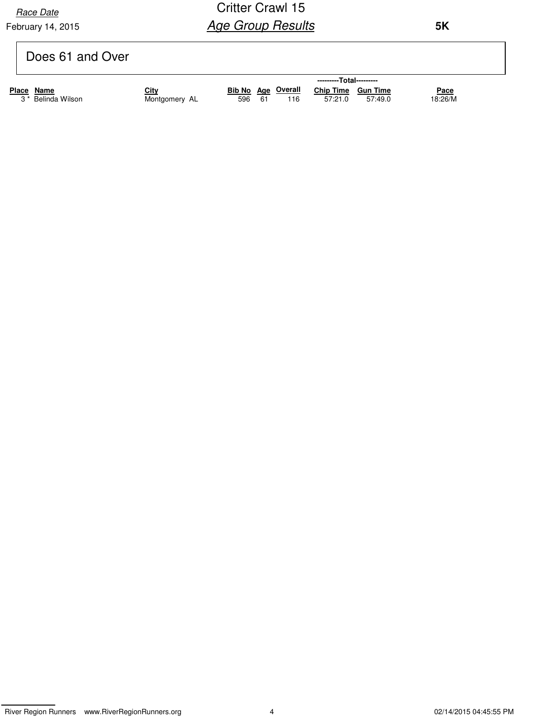February 14, 2015 **Race Date** 

| Does 61 and Over |
|------------------|
|------------------|

|       |                               |               |     |     |                           | ---------Total--------- |         |             |
|-------|-------------------------------|---------------|-----|-----|---------------------------|-------------------------|---------|-------------|
| Place | Name                          | <u>City</u>   |     |     | <b>Bib No Age Overall</b> | Chip Time Gun Time      |         | <u>Pace</u> |
|       | 3 <sup>*</sup> Belinda Wilson | Montgomery AL | 596 | -61 | 116                       | 57:21.0                 | 57:49.0 | 18:26/M     |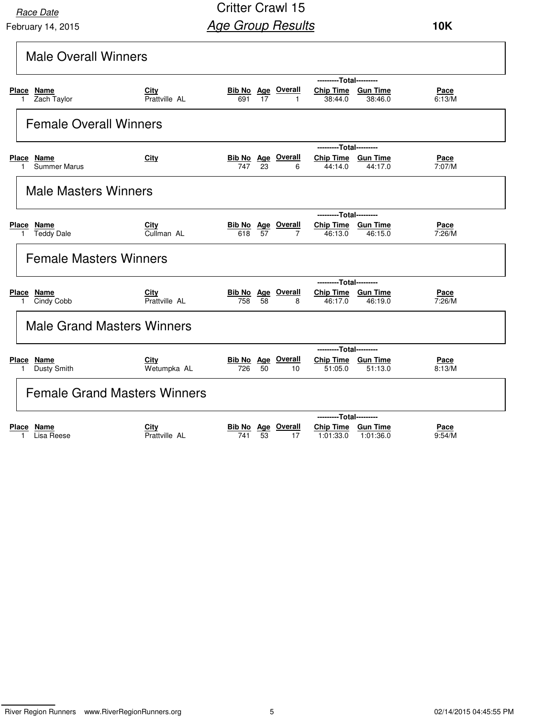February 14, 2015 **Race Date** 

Critter Crawl 15 **Age Group Results** 

| <b>Male Overall Winners</b>                            |                                     |                                                                                                                  |
|--------------------------------------------------------|-------------------------------------|------------------------------------------------------------------------------------------------------------------|
|                                                        |                                     | ---------Total---------                                                                                          |
| Place<br>Name<br>Zach Taylor                           | City<br>Prattville AL               | <b>Bib No</b> Age Overall<br>Chip Time Gun Time<br>Pace<br>17<br>6:13/M<br>691<br>38:44.0<br>38:46.0<br>1        |
| <b>Female Overall Winners</b>                          |                                     |                                                                                                                  |
|                                                        |                                     | ---------Total---------                                                                                          |
| Place Name<br><b>Summer Marus</b><br>1.                | City                                | Chip Time Gun Time<br>Bib No Age Overall<br>Pace<br>747<br>23<br>7:07/M<br>44:14.0<br>6<br>44:17.0               |
| <b>Male Masters Winners</b>                            |                                     |                                                                                                                  |
|                                                        |                                     | ---------Total---------                                                                                          |
| <b>Place</b><br><u>Name</u><br><b>Teddy Dale</b><br>1. | City<br>Cullman AL                  | <b>Bib No</b> Age Overall<br>Chip Time Gun Time<br><u>Pace</u><br>7:26/M<br>57<br>618<br>46:13.0<br>46:15.0<br>7 |
| <b>Female Masters Winners</b>                          |                                     |                                                                                                                  |
|                                                        |                                     | ---------Total---------                                                                                          |
| Place Name<br>Cindy Cobb<br>1.                         | City<br>Prattville AL               | <b>Bib No</b> Age Overall<br>Chip Time Gun Time<br><b>Pace</b><br>758<br>58<br>46:17.0<br>7:26/M<br>8<br>46:19.0 |
| <b>Male Grand Masters Winners</b>                      |                                     |                                                                                                                  |
|                                                        |                                     | ---------Total---------                                                                                          |
| Place Name<br>Dusty Smith<br>$\mathbf{1}$              | City<br>Wetumpka AL                 | <b>Bib No Age Overall</b><br>Chip Time Gun Time<br>Pace<br>726<br>50<br>51:05.0<br>51:13.0<br>8:13/M<br>10       |
|                                                        | <b>Female Grand Masters Winners</b> |                                                                                                                  |
|                                                        |                                     | ---------Total---------                                                                                          |
| Place Name<br>Lisa Reese<br>1.                         | City<br>Prattville AL               | <b>Bib No</b> Age Overall<br>Chip Time Gun Time<br>Pace<br>9:54/M<br>53<br>1:01:33.0<br>1:01:36.0<br>741<br>17   |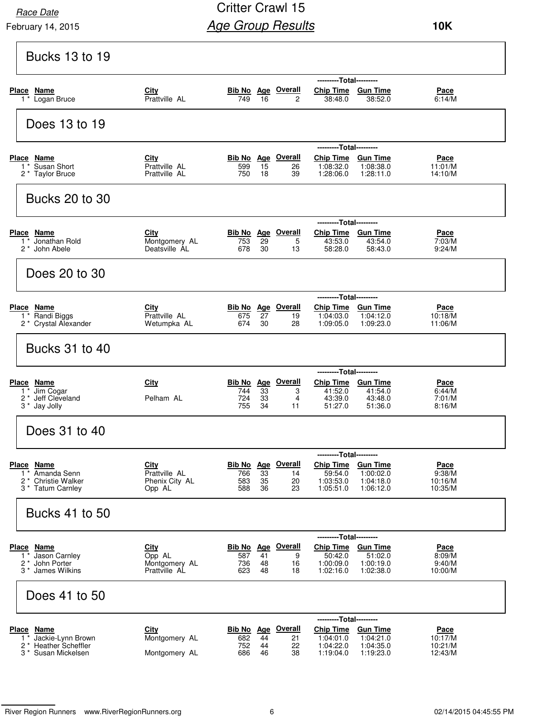February 14, 2015

| <b>Bucks 13 to 19</b>                                               |                                        |                                         |          |                                |                                                                         |                        |                                   |
|---------------------------------------------------------------------|----------------------------------------|-----------------------------------------|----------|--------------------------------|-------------------------------------------------------------------------|------------------------|-----------------------------------|
| Place Name<br>1 <sup>*</sup> Logan Bruce                            | City<br>Prattville AL                  | <b>Bib No</b> Age Overall<br>749        | - 16     | $\overline{c}$                 | ---------Total---------<br>Chip Time Gun Time<br>38:48.0                | 38:52.0                | Pace<br>6:14/M                    |
| Does 13 to 19                                                       |                                        |                                         |          |                                |                                                                         |                        |                                   |
| Place Name<br>1* Susan Short<br>2 * Taylor Bruce                    | City<br>Prattville AL<br>Prattville AL | <b>Bib No</b> Age Overall<br>599<br>750 | 15<br>18 | 26<br>39                       | ---------Total---------<br>Chip Time Gun Time<br>1:08:32.0<br>1:28:06.0 | 1:08:38.0<br>1:28:11.0 | Pace<br>11:01/M<br>14:10/M        |
| <b>Bucks 20 to 30</b>                                               |                                        |                                         |          |                                |                                                                         |                        |                                   |
|                                                                     |                                        |                                         |          |                                | ---------Total---------                                                 |                        |                                   |
| Place Name<br>1 <sup>*</sup> Jonathan Rold<br>2* John Abele         | City<br>Montgomery AL<br>Deatsville AL | 753<br>678                              | 29<br>30 | Bib No Age Overall<br>5<br>13  | Chip Time Gun Time<br>43:53.0<br>58:28.0                                | 43:54.0<br>58:43.0     | <u>Pace</u><br>7:03/M<br>9:24/M   |
| Does 20 to 30                                                       |                                        |                                         |          |                                |                                                                         |                        |                                   |
|                                                                     |                                        |                                         |          |                                | ---------Total---------                                                 |                        |                                   |
| Place Name<br>1 <sup>*</sup> Randi Biggs<br>2 * Crystal Alexander   | City<br>Prattville AL<br>Wetumpka AL   | 675<br>674                              | 27<br>30 | Bib No Age Overall<br>19<br>28 | Chip Time Gun Time<br>1:04:03.0<br>1:09:05.0                            | 1:04:12.0<br>1:09:23.0 | <b>Pace</b><br>10:18/M<br>11:06/M |
| <b>Bucks 31 to 40</b>                                               |                                        |                                         |          |                                |                                                                         |                        |                                   |
|                                                                     |                                        |                                         |          |                                | ---------Total---------                                                 |                        |                                   |
| Place Name<br>1 <sup>*</sup> Jim Cogar                              | City                                   | <b>Bib No</b> Age Overall<br>744        | 33       | 3                              | Chip Time Gun Time<br>41:52.0                                           | 41:54.0                | Pace<br>6:44/M                    |
| 2 <sup>*</sup> Jeff Cleveland<br>3 * Jay Jolly                      | Pelham AL                              | 724<br>755                              | 33<br>34 | 4<br>11                        | 43:39.0<br>51:27.0                                                      | 43:48.0<br>51:36.0     | 7:01/M<br>8:16/M                  |
| Does 31 to 40                                                       |                                        |                                         |          |                                |                                                                         |                        |                                   |
|                                                                     |                                        |                                         |          |                                | ---------Total---------                                                 |                        |                                   |
| Place Name<br>1 <sup>*</sup> Amanda Senn                            | <b>City</b><br>Prattville AL           | Bib No Age Overall<br>766               | 33       | 14                             | Chip Time Gun Time<br>59:54.0                                           | 1:00:02.0              | Pace<br>9:38/M                    |
| 2 <sup>*</sup> Christie Walker<br>3 * Tatum Carnley                 | Phenix City AL<br>Opp AL               | 583<br>588                              | 35<br>36 | 20<br>23                       | 1:03:53.0<br>1:05:51.0                                                  | 1:04:18.0<br>1:06:12.0 | 10:16/M<br>10:35/M                |
| <b>Bucks 41 to 50</b>                                               |                                        |                                         |          |                                |                                                                         |                        |                                   |
|                                                                     |                                        |                                         |          |                                | ---------Total---------                                                 |                        |                                   |
| Place Name<br>1 <sup>*</sup> Jason Carnley                          | City<br>Opp AL                         | <b>Bib No Age Overall</b><br>587        | 41       | 9                              | Chip Time Gun Time<br>50:42.0                                           | 51:02.0                | Pace<br>8:09/M                    |
| 2 * John Porter<br>3 <sup>*</sup> James Wilkins                     | Montgomery AL<br>Prattville AL         | 736<br>623                              | 48<br>48 | 16<br>18                       | 1:00:09.0<br>1:02:16.0                                                  | 1:00:19.0<br>1:02:38.0 | 9:40/M<br>10:00/M                 |
| Does 41 to 50                                                       |                                        |                                         |          |                                |                                                                         |                        |                                   |
|                                                                     |                                        |                                         |          |                                | ---------Total---------                                                 |                        |                                   |
|                                                                     | City                                   | <b>Bib No</b> Age Overall               |          |                                | <b>Chip Time</b>                                                        | <b>Gun Time</b>        | <u>Pace</u>                       |
| <b>Place Name</b><br>1 * Jackie-Lynn Brown<br>2 * Heather Scheffler | Montgomery AL                          | 682<br>752                              | 44<br>44 | 21<br>22                       | 1:04:01.0<br>1:04:22.0                                                  | 1:04:21.0<br>1:04:35.0 | 10:17/M<br>10:21/M                |